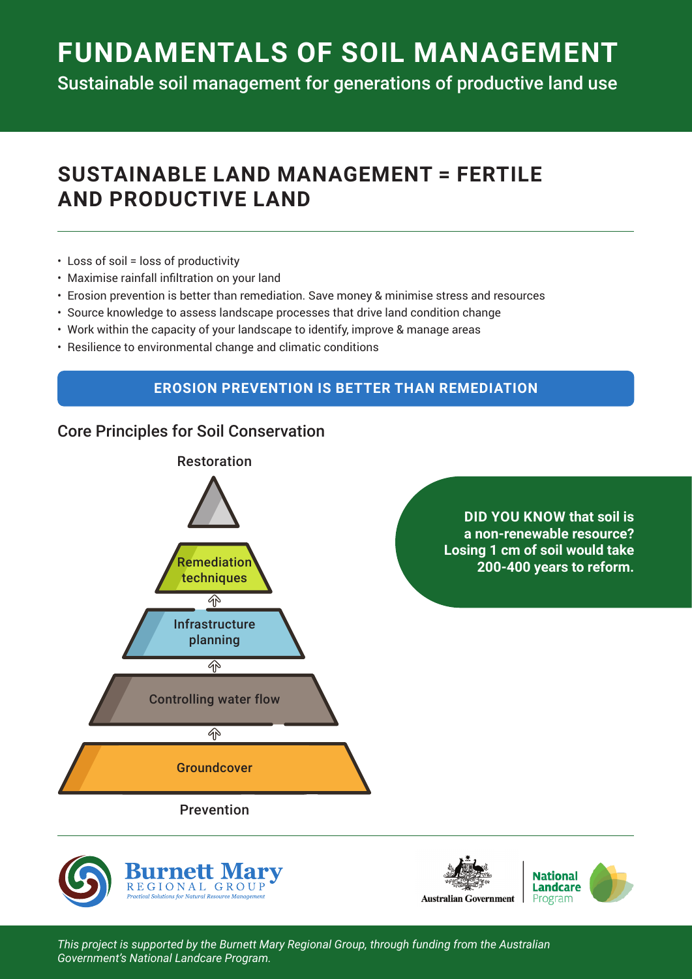# **FUNDAMENTALS OF SOIL MANAGEMENT**

Sustainable soil management for generations of productive land use

## **SUSTAINABLE LAND MANAGEMENT = FERTILE AND PRODUCTIVE LAND**

- Loss of soil = loss of productivity
- • Maximise rainfall infiltration on your land
- Erosion prevention is better than remediation. Save money & minimise stress and resources
- Source knowledge to assess landscape processes that drive land condition change
- Work within the capacity of your landscape to identify, improve & manage areas
- Resilience to environmental change and climatic conditions

### **EROSION PREVENTION IS BETTER THAN REMEDIATION**

### Core Principles for Soil Conservation







*This project is supported by the Burnett Mary Regional Group, through funding from the Australian Government's National Landcare Program.*